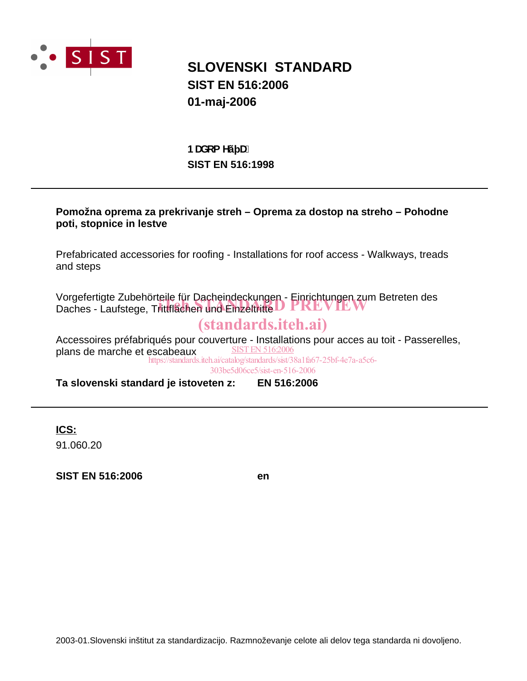

## **SLOVENSKI STANDARD SIST EN 516:2006 01-maj-2006**

## **SIST EN 516:1998 BUXca Yý U.**

### **Pomožna oprema za prekrivanje streh – Oprema za dostop na streho – Pohodne poti, stopnice in lestve**

Prefabricated accessories for roofing - Installations for roof access - Walkways, treads and steps

Vorgefertigte Zubehörteile für Dacheindeckungen - Einrichtungen zum Betreten des vorgelerugte zuberichtene für Dachemueckungen - Einhchungen zum<br>Daches - Laufstege, Trittflächen und Einzeltritte

## (standards.iteh.ai)

Accessoires préfabriqués pour couverture - Installations pour acces au toit - Passerelles, plans de marche et escabeaux SIST EN 516:2006 https://standards.iteh.ai/catalog/standards/sist/38a1fa67-25bf-4e7a-a5c6-

303be5d06ce5/sist-en-516-2006

**Ta slovenski standard je istoveten z: EN 516:2006**

**ICS:**

91.060.20

**SIST EN 516:2006 en**

2003-01.Slovenski inštitut za standardizacijo. Razmnoževanje celote ali delov tega standarda ni dovoljeno.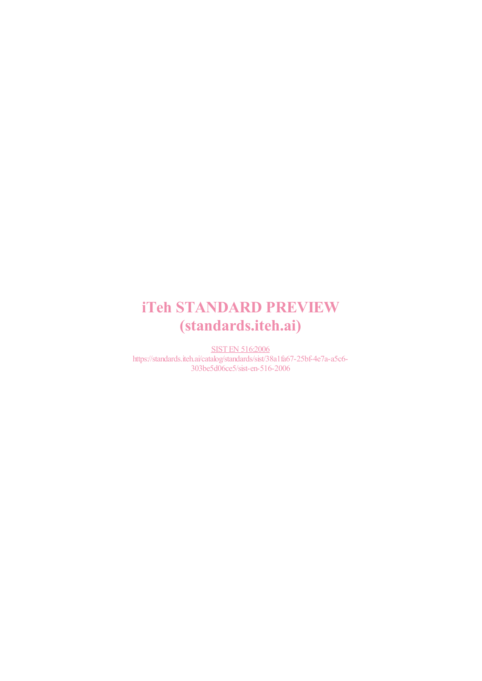# iTeh STANDARD PREVIEW (standards.iteh.ai)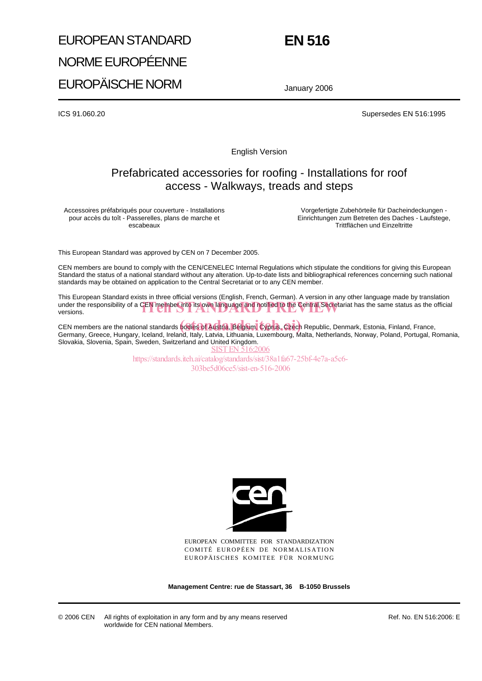# EUROPEAN STANDARD NORME EUROPÉENNE EUROPÄISCHE NORM

# **EN 516**

January 2006

ICS 91.060.20 Supersedes EN 516:1995

English Version

### Prefabricated accessories for roofing - Installations for roof access - Walkways, treads and steps

Accessoires préfabriqués pour couverture - Installations pour accès du toît - Passerelles, plans de marche et escabeaux

Vorgefertigte Zubehörteile für Dacheindeckungen - Einrichtungen zum Betreten des Daches - Laufstege, Trittflächen und Einzeltritte

This European Standard was approved by CEN on 7 December 2005.

CEN members are bound to comply with the CEN/CENELEC Internal Regulations which stipulate the conditions for giving this European Standard the status of a national standard without any alteration. Up-to-date lists and bibliographical references concerning such national standards may be obtained on application to the Central Secretariat or to any CEN member.

This European Standard exists in three official versions (English, French, German). A version in any other language made by translation under the responsibility of a CEN member into its own language and notified to the Central Secretariat has the same status as the official versions. versions.

CEN members are the national standards **bodies of Austria, Belgium, Cyprus, Czech** Republic, Denmark, Estonia, Finland, France, Germany, Greece, Hungary, Iceland, Ireland, Italy, Latvia, Lithuania, Luxembourg, Malta, Netherlands, Norway, Poland, Portugal, Romania, Slovakia, Slovenia, Spain, Sweden, Switzerland and United Kingdom. SIST EN 516:2006

https://standards.iteh.ai/catalog/standards/sist/38a1fa67-25bf-4e7a-a5c6- 303be5d06ce5/sist-en-516-2006



EUROPEAN COMMITTEE FOR STANDARDIZATION COMITÉ EUROPÉEN DE NORMALISATION EUROPÄISCHES KOMITEE FÜR NORMUNG

**Management Centre: rue de Stassart, 36 B-1050 Brussels**

Ref. No. EN 516:2006: E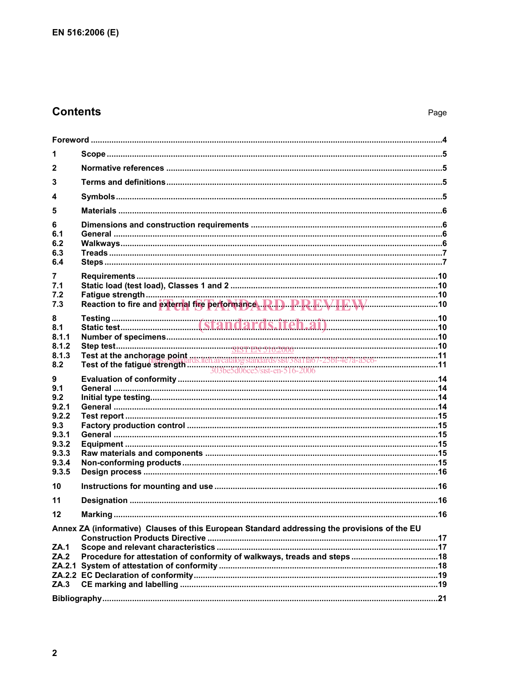## **Contents**

| 1                                                                                            |  |  |  |
|----------------------------------------------------------------------------------------------|--|--|--|
| $\mathbf{2}$                                                                                 |  |  |  |
| 3                                                                                            |  |  |  |
| 4                                                                                            |  |  |  |
| 5                                                                                            |  |  |  |
| 6<br>6.1<br>6.2<br>6.3<br>6.4                                                                |  |  |  |
| 7                                                                                            |  |  |  |
| 7.1<br>7.2                                                                                   |  |  |  |
| 7.3                                                                                          |  |  |  |
| 8<br>8.1                                                                                     |  |  |  |
| 8.1.1                                                                                        |  |  |  |
| 8.1.2<br>8.1.3                                                                               |  |  |  |
| 8.2                                                                                          |  |  |  |
| 9<br>9.1                                                                                     |  |  |  |
| 9.2                                                                                          |  |  |  |
| 9.2.1<br>9.2.2                                                                               |  |  |  |
| 9.3                                                                                          |  |  |  |
| 9.3.1                                                                                        |  |  |  |
| 9.3.2<br>9.3.3                                                                               |  |  |  |
| 9.3.4                                                                                        |  |  |  |
| 9.3.5                                                                                        |  |  |  |
| 10                                                                                           |  |  |  |
| 11                                                                                           |  |  |  |
| 12                                                                                           |  |  |  |
| Annex ZA (informative) Clauses of this European Standard addressing the provisions of the EU |  |  |  |
| ZA.1<br>ZA.2                                                                                 |  |  |  |
|                                                                                              |  |  |  |
|                                                                                              |  |  |  |
| ZA.3                                                                                         |  |  |  |
|                                                                                              |  |  |  |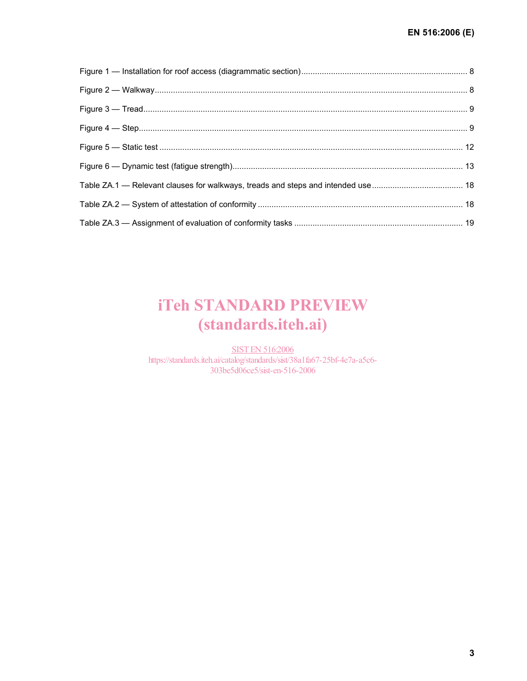# iTeh STANDARD PREVIEW (standards.iteh.ai)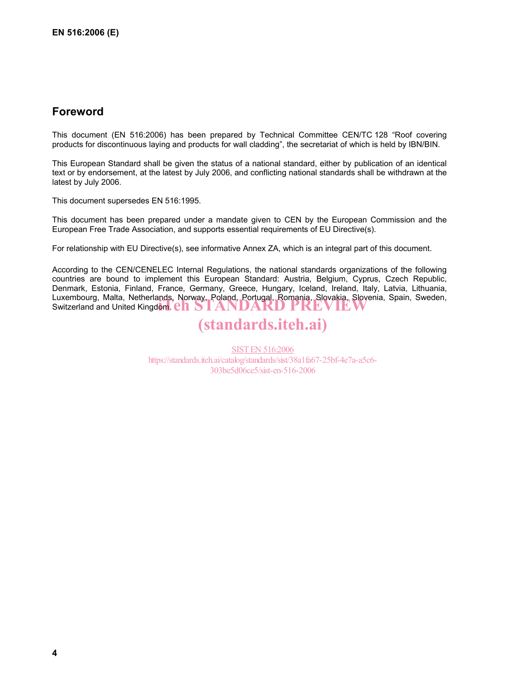### **Foreword**

This document (EN 516:2006) has been prepared by Technical Committee CEN/TC 128 "Roof covering products for discontinuous laying and products for wall cladding", the secretariat of which is held by IBN/BIN.

This European Standard shall be given the status of a national standard, either by publication of an identical text or by endorsement, at the latest by July 2006, and conflicting national standards shall be withdrawn at the latest by July 2006.

This document supersedes EN 516:1995.

This document has been prepared under a mandate given to CEN by the European Commission and the European Free Trade Association, and supports essential requirements of EU Directive(s).

For relationship with EU Directive(s), see informative Annex ZA, which is an integral part of this document.

According to the CEN/CENELEC Internal Regulations, the national standards organizations of the following countries are bound to implement this European Standard: Austria, Belgium, Cyprus, Czech Republic, Denmark, Estonia, Finland, France, Germany, Greece, Hungary, Iceland, Ireland, Italy, Latvia, Lithuania, Luxembourg, Malta, Netherlands, Norway, Poland, Portugal, Romania, Slovakia, Slovenia, Spain, Sweden, Sweden, Sweden, Sweden, Sweden, Sweden, Sweden, Sweden, Sweden, Sweden, Sweden, Sweden, Sweden, Sweden, Sweden, Sweden, Switzerland and United Kingdom. Ch STANDARD

## (standards.iteh.ai)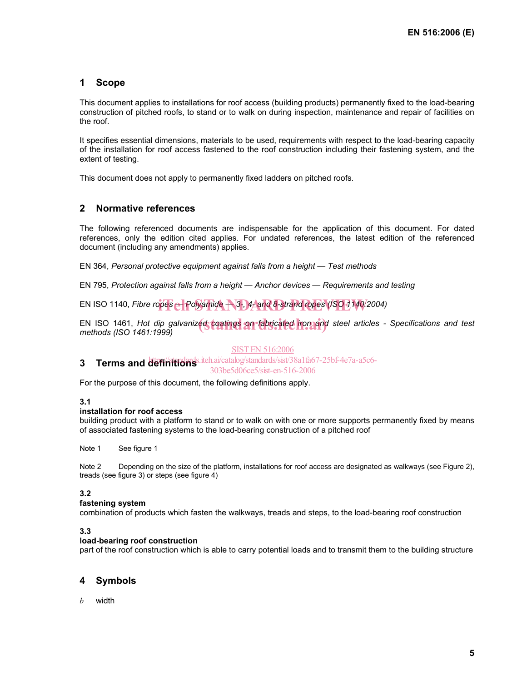#### **1 Scope**

This document applies to installations for roof access (building products) permanently fixed to the load-bearing construction of pitched roofs, to stand or to walk on during inspection, maintenance and repair of facilities on the roof.

It specifies essential dimensions, materials to be used, requirements with respect to the load-bearing capacity of the installation for roof access fastened to the roof construction including their fastening system, and the extent of testing.

This document does not apply to permanently fixed ladders on pitched roofs.

#### **2 Normative references**

The following referenced documents are indispensable for the application of this document. For dated references, only the edition cited applies. For undated references, the latest edition of the referenced document (including any amendments) applies.

EN 364, *Personal protective equipment against falls from a height — Test methods*

EN 795, *Protection against falls from a height — Anchor devices — Requirements and testing* 

EN ISO 1140, *Fibre ropes* — Polyamide + 3-, 4 and 8-strand ropes (ISO 1140/2004)

EN ISO 1461, *Hot dip galvanized coatings on fabricated iron and steel articles - Specifications and test*<br>methods.(ISO 1461:1999) *methods (ISO 1461:1999)*

#### SIST EN 516:2006

### **3** Terms and definitions *siteh.ai/catalog/standards/sist/38a1fa67-25bf-4e7a-a5c6-*

303be5d06ce5/sist-en-516-2006

For the purpose of this document, the following definitions apply.

#### **3.1**

#### **installation for roof access**

building product with a platform to stand or to walk on with one or more supports permanently fixed by means of associated fastening systems to the load-bearing construction of a pitched roof

Note 1 See figure 1

Note 2 Depending on the size of the platform, installations for roof access are designated as walkways (see Figure 2), treads (see figure 3) or steps (see figure 4)

#### **3.2**

#### **fastening system**

combination of products which fasten the walkways, treads and steps, to the load-bearing roof construction

#### **3.3**

#### **load-bearing roof construction**

part of the roof construction which is able to carry potential loads and to transmit them to the building structure

#### **4 Symbols**

*b* width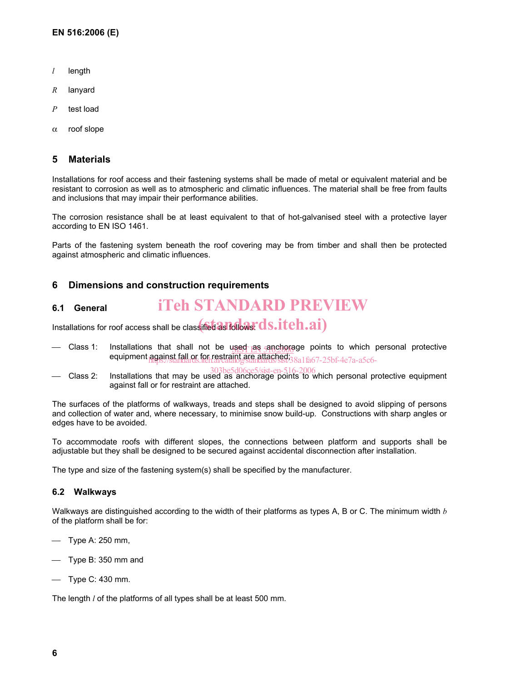- *l* length
- *R* lanyard
- *P* test load
- α roof slope

#### **5 Materials**

Installations for roof access and their fastening systems shall be made of metal or equivalent material and be resistant to corrosion as well as to atmospheric and climatic influences. The material shall be free from faults and inclusions that may impair their performance abilities.

The corrosion resistance shall be at least equivalent to that of hot-galvanised steel with a protective layer according to EN ISO 1461.

Parts of the fastening system beneath the roof covering may be from timber and shall then be protected against atmospheric and climatic influences.

#### **6 Dimensions and construction requirements**

#### **6.1 General**  iTeh STANDARD PREVIEW

Installations for roof access shall be classified as follows:  $\bf ds.iteh.ai)$ 

- Class 1: Installations that shall not be used as anchorage points to which personal protective Installations that shall not be used as anchored<br>equipment against fall or for restraint are attached; https://standards.iteh.ai/catalog/standards/sist/38a1fa67-25bf-4e7a-a5c6-
- Class 2: Installations that may be used as anchorage points to which personal protective equipment 303be5d06ce5/sist-en-516-2006against fall or for restraint are attached.

The surfaces of the platforms of walkways, treads and steps shall be designed to avoid slipping of persons and collection of water and, where necessary, to minimise snow build-up. Constructions with sharp angles or edges have to be avoided.

To accommodate roofs with different slopes, the connections between platform and supports shall be adjustable but they shall be designed to be secured against accidental disconnection after installation.

The type and size of the fastening system(s) shall be specified by the manufacturer.

#### **6.2 Walkways**

Walkways are distinguished according to the width of their platforms as types A, B or C. The minimum width *b* of the platform shall be for:

- $-$  Type A: 250 mm,
- $\equiv$  Type B: 350 mm and
- $-$  Type C: 430 mm.

The length *l* of the platforms of all types shall be at least 500 mm.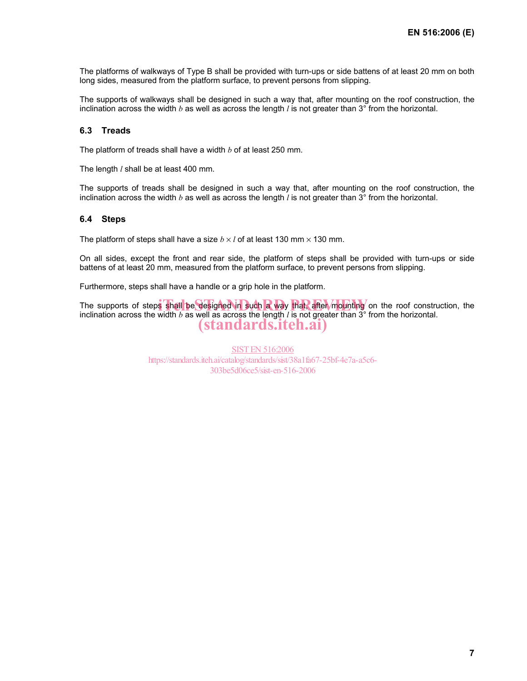The platforms of walkways of Type B shall be provided with turn-ups or side battens of at least 20 mm on both long sides, measured from the platform surface, to prevent persons from slipping.

The supports of walkways shall be designed in such a way that, after mounting on the roof construction, the inclination across the width *b* as well as across the length *l* is not greater than 3° from the horizontal.

#### **6.3 Treads**

The platform of treads shall have a width *b* of at least 250 mm.

The length *l* shall be at least 400 mm.

The supports of treads shall be designed in such a way that, after mounting on the roof construction, the inclination across the width *b* as well as across the length *l* is not greater than 3° from the horizontal.

#### **6.4 Steps**

The platform of steps shall have a size  $b \times l$  of at least 130 mm  $\times$  130 mm.

On all sides, except the front and rear side, the platform of steps shall be provided with turn-ups or side battens of at least 20 mm, measured from the platform surface, to prevent persons from slipping.

Furthermore, steps shall have a handle or a grip hole in the platform.

The supports of steps shall be designed in such a way that, after mounting on the roof construction, the inclination across the width  $h$  as well as across the length  $l$  is not greater than  $3^\circ$  from the horizontal inclination across the width *b* as well as across the length *l* is not greater than 3° from the horizontal. (standards.iteh.ai)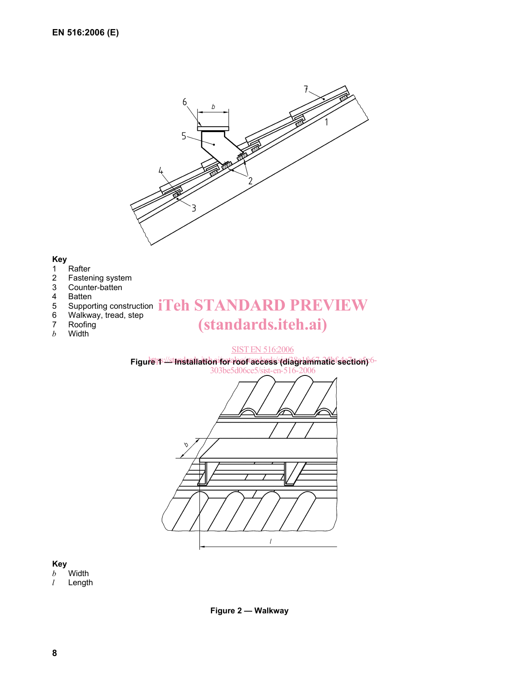

## **Key**

- 1 Rafter<br>2 Faster
- 2 Fastening system<br>3 Counter-batten
- 3 Counter-batten
- 4 Batten<br>5 Suppor
- 
- 6 Walkway, tread, step
- 7 Roofing
- *b* Width

# $\frac{4}{5}$  Supporting construction  $iTeh$   $STANDARD$   $PREV$   $EW$ (standards.iteh.ai)

#### SIST EN 516:2006

Figure **IStandard Catalogy Constructs** 



# **Key**

*b* Width *l* Length

**Figure 2 — Walkway**